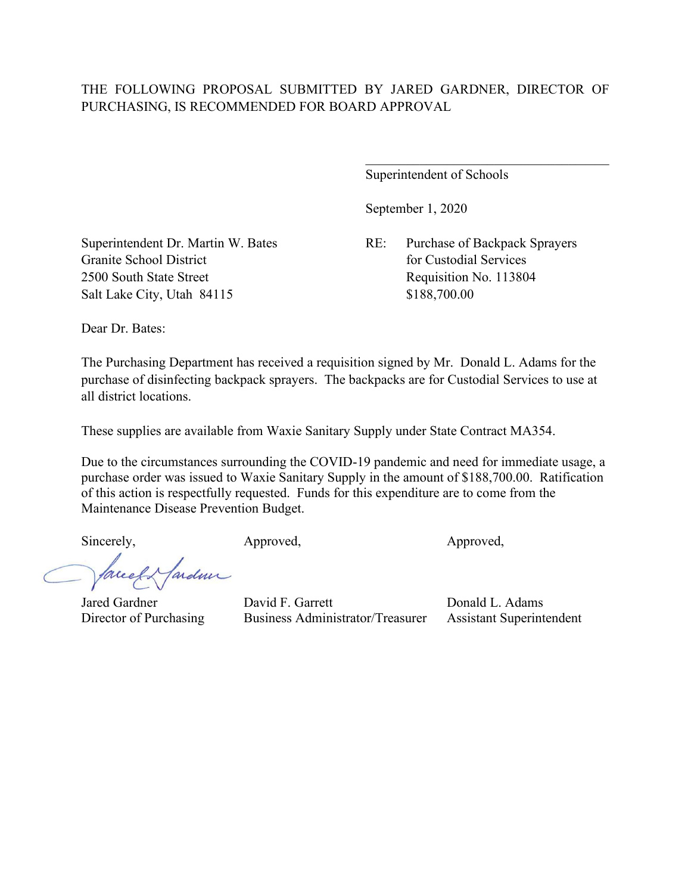Superintendent of Schools

September 1, 2020

Superintendent Dr. Martin W. Bates RE: Purchase of Backpack Sprayers

Granite School District **for Custodial Services** for Custodial Services 2500 South State Street Requisition No. 113804 Salt Lake City, Utah 84115 \$188,700.00

Dear Dr. Bates:

The Purchasing Department has received a requisition signed by Mr. Donald L. Adams for the purchase of disinfecting backpack sprayers. The backpacks are for Custodial Services to use at all district locations.

These supplies are available from Waxie Sanitary Supply under State Contract MA354.

Due to the circumstances surrounding the COVID-19 pandemic and need for immediate usage, a purchase order was issued to Waxie Sanitary Supply in the amount of \$188,700.00. Ratification of this action is respectfully requested. Funds for this expenditure are to come from the Maintenance Disease Prevention Budget.

ardmi

Jared Gardner David F. Garrett Donald L. Adams

Director of Purchasing Business Administrator/Treasurer Assistant Superintendent

Sincerely, Approved, Approved, Approved,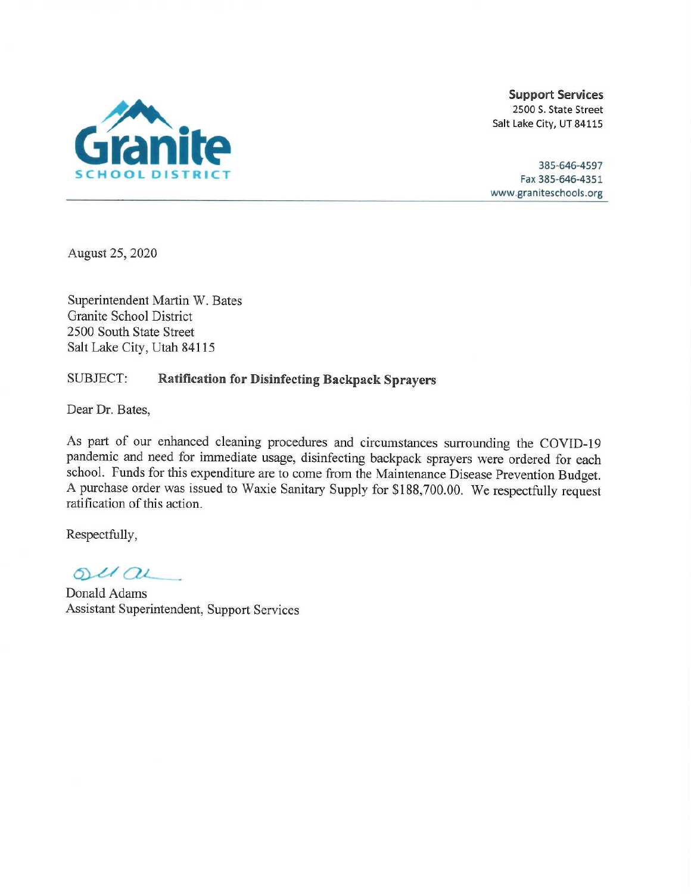

385-646-4597 Fax 385-646-4351 www.graniteschools.org

August 25, 2020

Superintendent Martin W. Bates Granite School District 2500 South State Street Salt Lake City, Utah 84115

#### SUBJECT: **Ratification for Disinfecting Backpack Sprayers**

Dear Dr. Bates,

As part of our enhanced cleaning procedures and circumstances surrounding the COVID-19 pandemic and need for immediate usage, disinfecting backpack sprayers were ordered for each school. Funds for this expenditure are to come from the Maintenance Disease Prevention Budget. A purchase order was issued to Waxie Sanitary Supply for \$188,700.00. We respectfully request ratification of this action.

 $OUCQL$ 

Donald Adams Assistant Superintendent, Support Services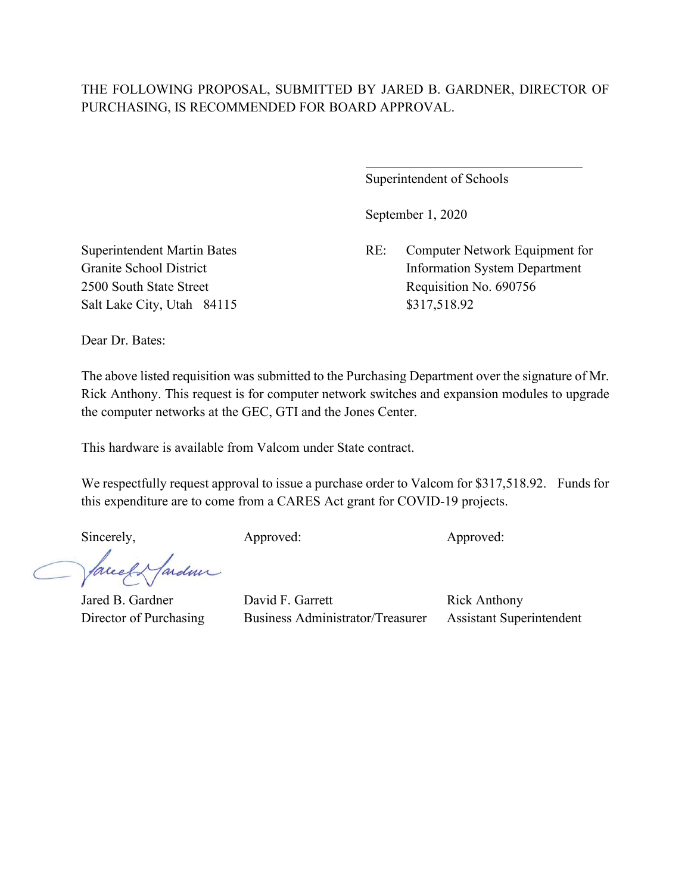$\overline{a}$ 

Superintendent of Schools

September 1, 2020

Superintendent Martin Bates RE: Computer Network Equipment for Granite School District Information System Department 2500 South State Street Requisition No. 690756

Salt Lake City, Utah 84115 \$317,518.92

Dear Dr. Bates:

The above listed requisition was submitted to the Purchasing Department over the signature of Mr. Rick Anthony. This request is for computer network switches and expansion modules to upgrade the computer networks at the GEC, GTI and the Jones Center.

This hardware is available from Valcom under State contract.

We respectfully request approval to issue a purchase order to Valcom for \$317,518.92. Funds for this expenditure are to come from a CARES Act grant for COVID-19 projects.

facel & farden

Sincerely, Approved: Approved: Approved: Approved: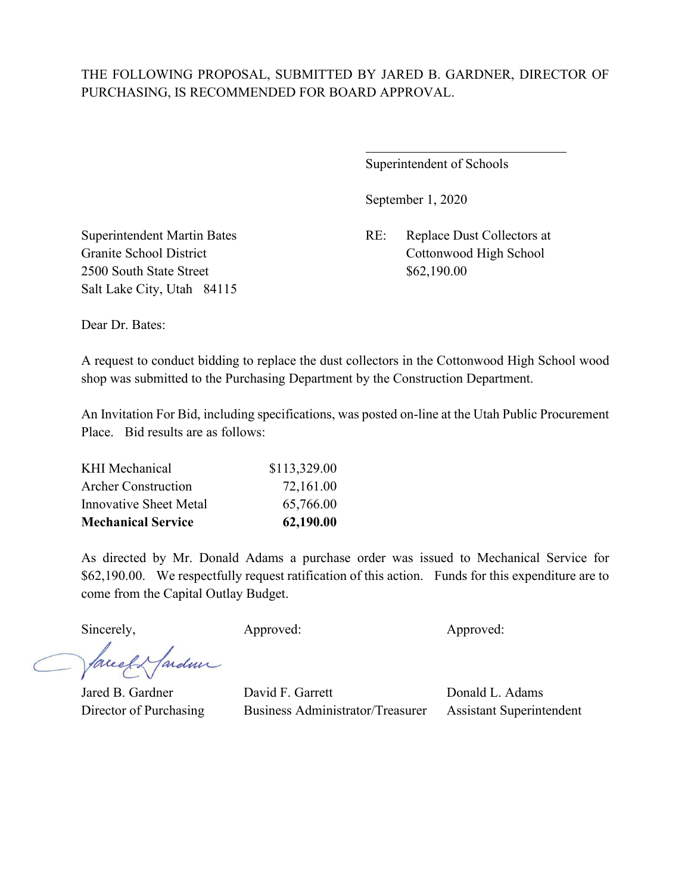$\overline{a}$ 

Superintendent of Schools

September 1, 2020

Superintendent Martin Bates RE: Replace Dust Collectors at Granite School District Cottonwood High School

2500 South State Street \$62,190.00 Salt Lake City, Utah 84115

Dear Dr. Bates:

A request to conduct bidding to replace the dust collectors in the Cottonwood High School wood shop was submitted to the Purchasing Department by the Construction Department.

An Invitation For Bid, including specifications, was posted on-line at the Utah Public Procurement Place. Bid results are as follows:

| <b>Mechanical Service</b>     | 62,190.00    |
|-------------------------------|--------------|
| <b>Innovative Sheet Metal</b> | 65,766.00    |
| <b>Archer Construction</b>    | 72,161.00    |
| <b>KHI</b> Mechanical         | \$113,329.00 |

As directed by Mr. Donald Adams a purchase order was issued to Mechanical Service for \$62,190.00. We respectfully request ratification of this action. Funds for this expenditure are to come from the Capital Outlay Budget.

Sincerely, Approved: Approved: Approved: Approved:

facel & fardeur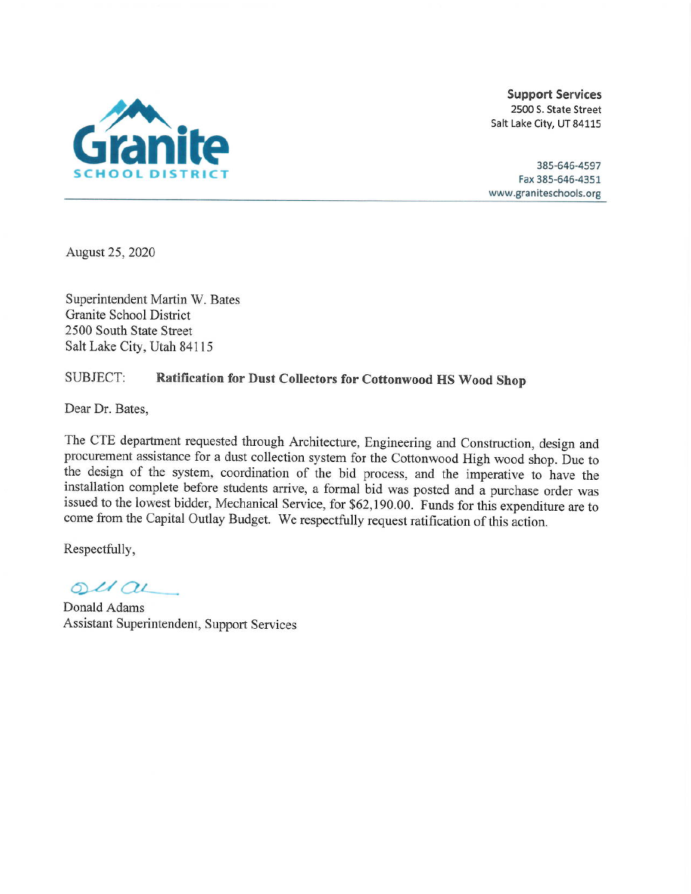

385-646-4597 Fax 385-646-4351 www.graniteschools.org

August 25, 2020

Superintendent Martin W. Bates Granite School District 2500 South State Street Salt Lake City, Utah 84115

### SUBJECT: Ratification for Dust Collectors for Cottonwood HS Wood Shop

Dear Dr. Bates,

The CTE department requested through Architecture, Engineering and Construction, design and procurement assistance for a dust collection system for the Cottonwood High wood shop. Due to the design of the system, coordination of the bid process, and the imperative to have the installation complete before students arrive, a formal bid was posted and a purchase order was issued to the lowest bidder, Mechanical Service, for \$62,190.00. Funds for this expenditure are to come from the Capital Outlay Budget. We respectfully request ratification of this action.

 $O(1)$ 

Donald Adams Assistant Superintendent, Support Services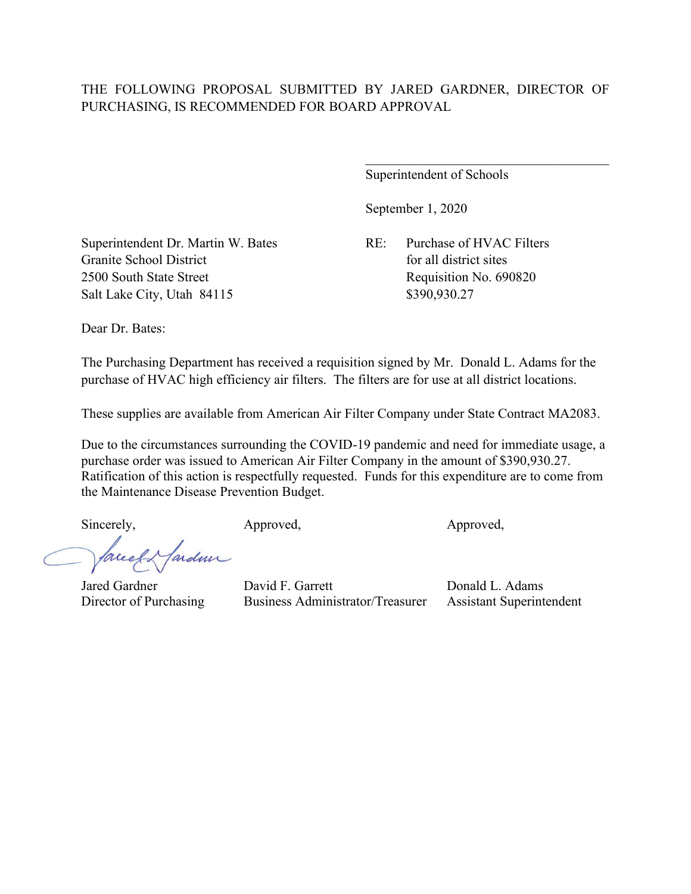Superintendent of Schools

September 1, 2020

Superintendent Dr. Martin W. Bates RE: Purchase of HVAC Filters Granite School District **for all district** for all district sites 2500 South State Street Requisition No. 690820 Salt Lake City, Utah 84115 \$390,930.27

Dear Dr. Bates:

The Purchasing Department has received a requisition signed by Mr. Donald L. Adams for the purchase of HVAC high efficiency air filters. The filters are for use at all district locations.

These supplies are available from American Air Filter Company under State Contract MA2083.

Due to the circumstances surrounding the COVID-19 pandemic and need for immediate usage, a purchase order was issued to American Air Filter Company in the amount of \$390,930.27. Ratification of this action is respectfully requested. Funds for this expenditure are to come from the Maintenance Disease Prevention Budget.

Sincerely, Approved, Approved, Approved, Approved,

ardmi facel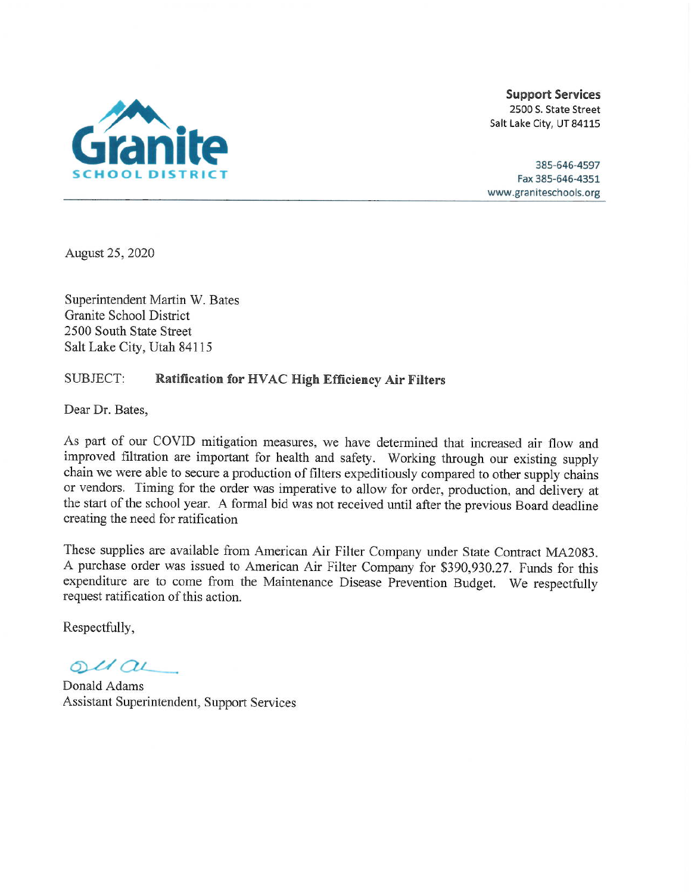

385-646-4597 Fax 385-646-4351 www.graniteschools.org

August 25, 2020

Superintendent Martin W. Bates Granite School District 2500 South State Street Salt Lake City, Utah 84115

#### SUBJECT: **Ratification for HVAC High Efficiency Air Filters**

Dear Dr. Bates,

As part of our COVID mitigation measures, we have determined that increased air flow and improved filtration are important for health and safety. Working through our existing supply chain we were able to secure a production of filters expeditiously compared to other supply chains or vendors. Timing for the order was imperative to allow for order, production, and delivery at the start of the school year. A formal bid was not received until after the previous Board deadline creating the need for ratification

These supplies are available from American Air Filter Company under State Contract MA2083. A purchase order was issued to American Air Filter Company for \$390,930.27. Funds for this expenditure are to come from the Maintenance Disease Prevention Budget. We respectfully request ratification of this action.

 $oldQL$ 

Donald Adams Assistant Superintendent, Support Services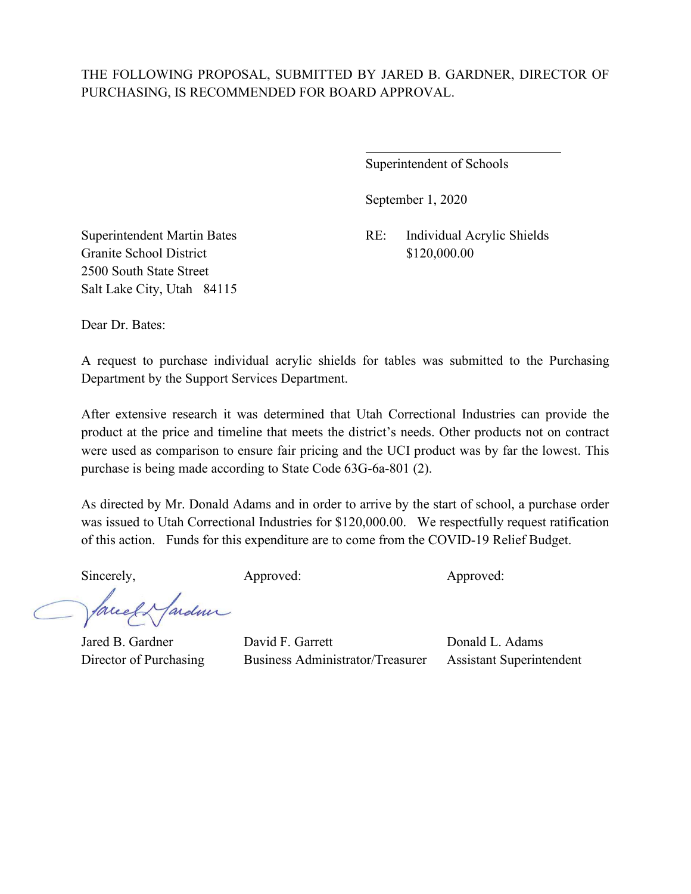$\overline{a}$ 

Superintendent of Schools

September 1, 2020

Granite School District \$120,000.00 2500 South State Street Salt Lake City, Utah 84115

Superintendent Martin Bates RE: Individual Acrylic Shields

Dear Dr. Bates:

A request to purchase individual acrylic shields for tables was submitted to the Purchasing Department by the Support Services Department.

After extensive research it was determined that Utah Correctional Industries can provide the product at the price and timeline that meets the district's needs. Other products not on contract were used as comparison to ensure fair pricing and the UCI product was by far the lowest. This purchase is being made according to State Code 63G-6a-801 (2).

As directed by Mr. Donald Adams and in order to arrive by the start of school, a purchase order was issued to Utah Correctional Industries for \$120,000.00. We respectfully request ratification of this action. Funds for this expenditure are to come from the COVID-19 Relief Budget.

Sincerely, Approved: Approved: Approved: Approved:

facely farder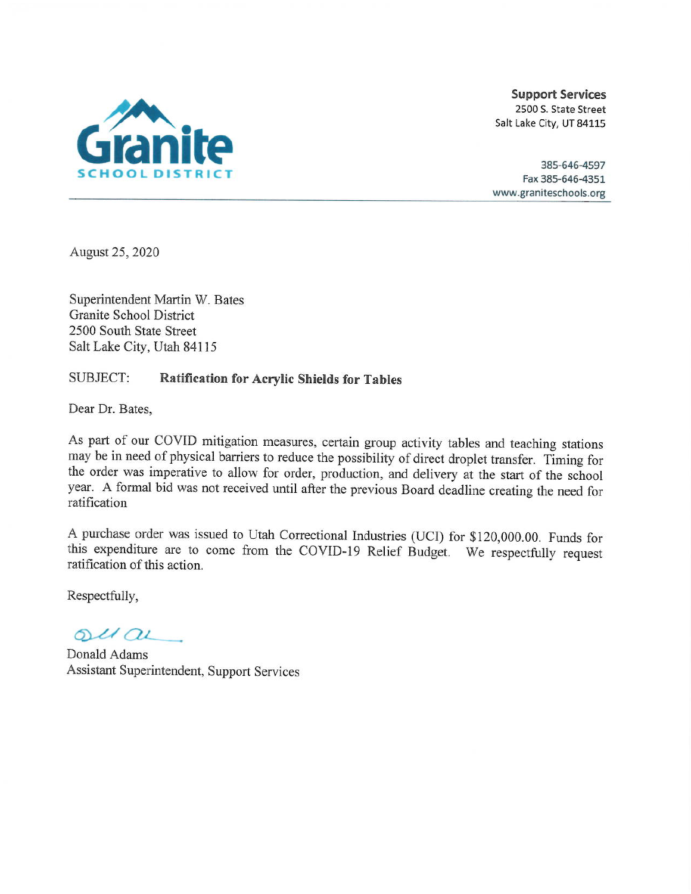

385-646-4597 Fax 385-646-4351 www.graniteschools.org

August 25, 2020

Superintendent Martin W. Bates Granite School District 2500 South State Street Salt Lake City, Utah 84115

#### SUBJECT: **Ratification for Acrylic Shields for Tables**

Dear Dr. Bates,

As part of our COVID mitigation measures, certain group activity tables and teaching stations may be in need of physical barriers to reduce the possibility of direct droplet transfer. Timing for the order was imperative to allow for order, production, and delivery at the start of the school year. A formal bid was not received until after the previous Board deadline creating the need for ratification

A purchase order was issued to Utah Correctional Industries (UCI) for \$120,000.00. Funds for this expenditure are to come from the COVID-19 Relief Budget. We respectfully request ratification of this action.

 $ol(au)$ 

Donald Adams Assistant Superintendent, Support Services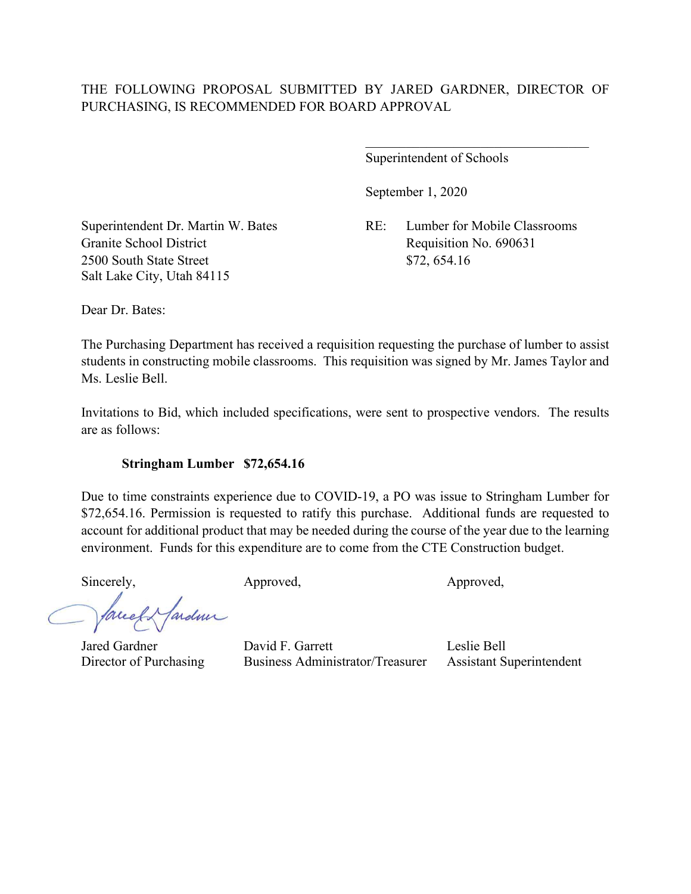Superintendent of Schools

September 1, 2020

Granite School District Requisition No. 690631 2500 South State Street \$72, 654.16 Salt Lake City, Utah 84115

Superintendent Dr. Martin W. Bates RE: Lumber for Mobile Classrooms

 $\mathcal{L}_\mathcal{L}$  , where  $\mathcal{L}_\mathcal{L}$  , we have the set of the set of the set of the set of the set of the set of the set of the set of the set of the set of the set of the set of the set of the set of the set of the set

Dear Dr. Bates:

The Purchasing Department has received a requisition requesting the purchase of lumber to assist students in constructing mobile classrooms. This requisition was signed by Mr. James Taylor and Ms. Leslie Bell.

Invitations to Bid, which included specifications, were sent to prospective vendors. The results are as follows:

### **Stringham Lumber \$72,654.16**

Due to time constraints experience due to COVID-19, a PO was issue to Stringham Lumber for \$72,654.16. Permission is requested to ratify this purchase. Additional funds are requested to account for additional product that may be needed during the course of the year due to the learning environment. Funds for this expenditure are to come from the CTE Construction budget.

Sincerely, Approved, Approved, Approved, Approved,

fardme facel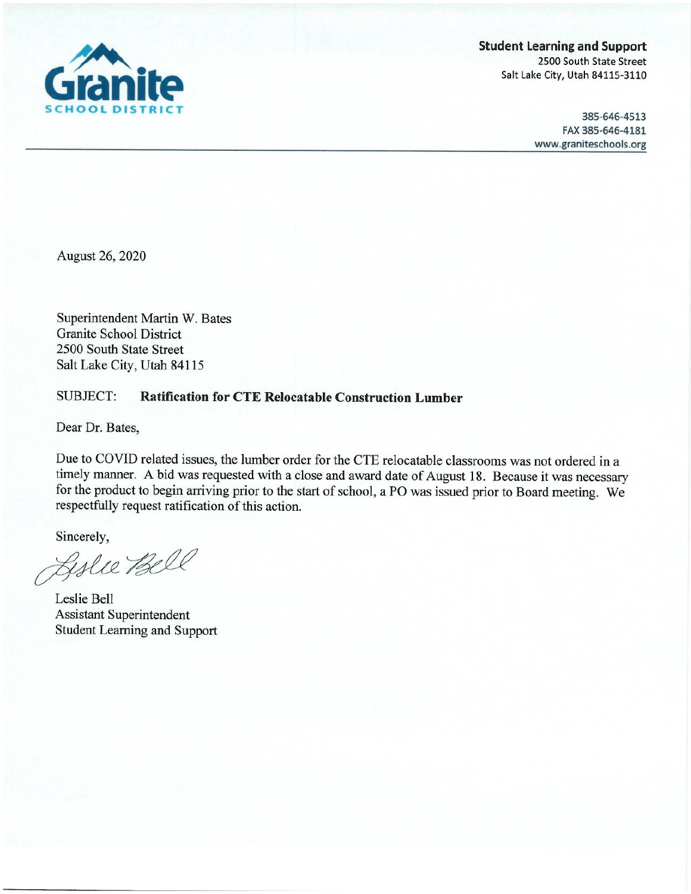

**Student Learning and Support** 2500 South State Street Salt Lake City, Utah 84115-3110

> 385-646-4513 FAX 385-646-4181 www.graniteschools.org

August 26, 2020

Superintendent Martin W. Bates **Granite School District** 2500 South State Street Salt Lake City, Utah 84115

#### **SUBJECT: Ratification for CTE Relocatable Construction Lumber**

Dear Dr. Bates,

Due to COVID related issues, the lumber order for the CTE relocatable classrooms was not ordered in a timely manner. A bid was requested with a close and award date of August 18. Because it was necessary for the product to begin arriving prior to the start of school, a PO was issued prior to Board meeting. We respectfully request ratification of this action.

Sincerely,

Lyslie Bell

Leslie Bell **Assistant Superintendent Student Learning and Support**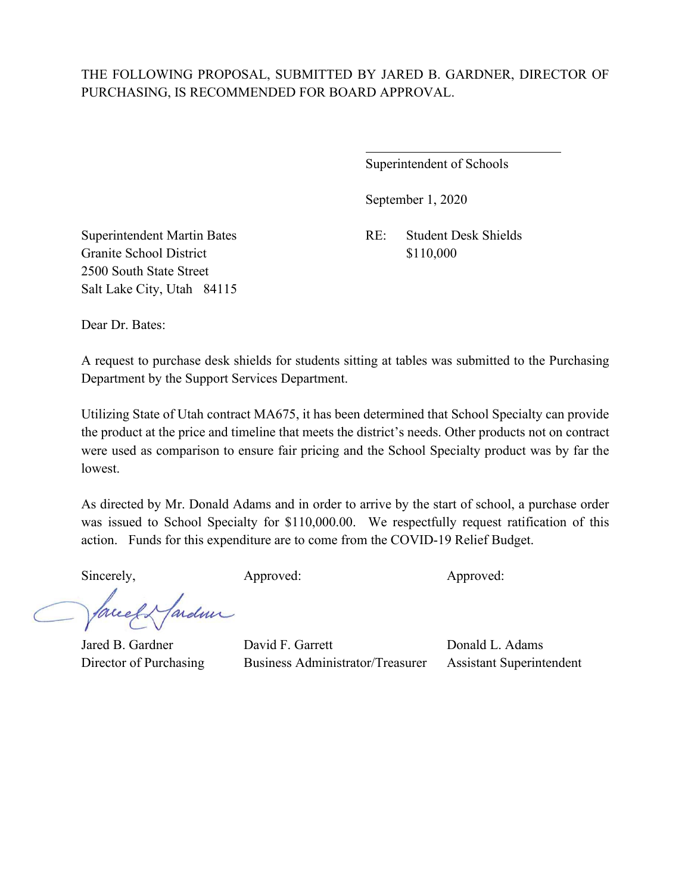$\overline{a}$ 

Superintendent of Schools

September 1, 2020

Granite School District \$110,000 2500 South State Street Salt Lake City, Utah 84115

Superintendent Martin Bates RE: Student Desk Shields

Dear Dr. Bates:

A request to purchase desk shields for students sitting at tables was submitted to the Purchasing Department by the Support Services Department.

Utilizing State of Utah contract MA675, it has been determined that School Specialty can provide the product at the price and timeline that meets the district's needs. Other products not on contract were used as comparison to ensure fair pricing and the School Specialty product was by far the lowest.

As directed by Mr. Donald Adams and in order to arrive by the start of school, a purchase order was issued to School Specialty for \$110,000.00. We respectfully request ratification of this action. Funds for this expenditure are to come from the COVID-19 Relief Budget.

Sincerely, Approved: Approved: Approved: Approved:

fardun face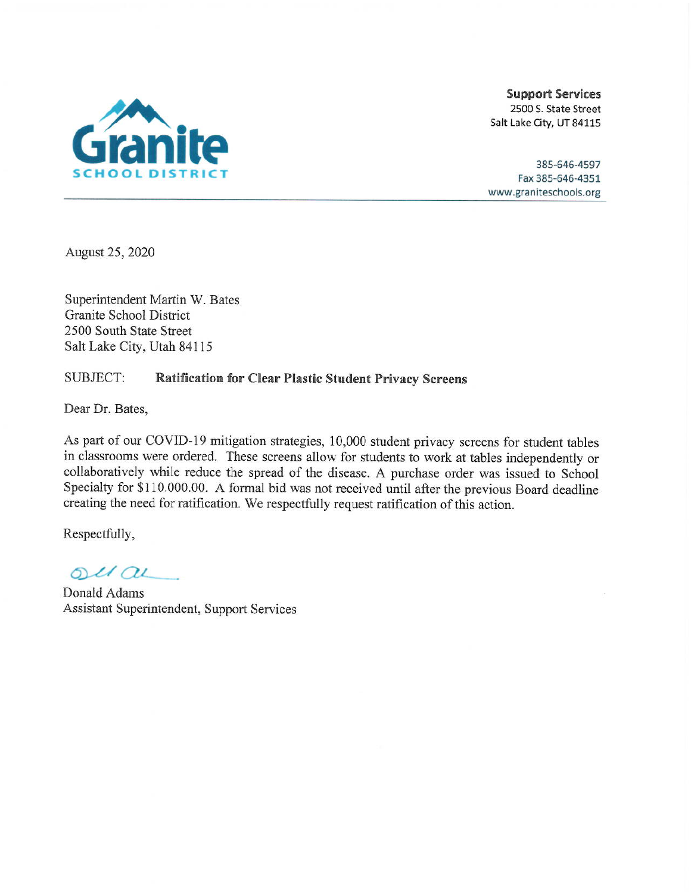

385-646-4597 Fax 385-646-4351 www.graniteschools.org

August 25, 2020

Superintendent Martin W. Bates Granite School District 2500 South State Street Salt Lake City, Utah 84115

#### SUBJECT: **Ratification for Clear Plastic Student Privacy Screens**

Dear Dr. Bates,

As part of our COVID-19 mitigation strategies, 10,000 student privacy screens for student tables in classrooms were ordered. These screens allow for students to work at tables independently or collaboratively while reduce the spread of the disease. A purchase order was issued to School Specialty for \$110.000.00. A formal bid was not received until after the previous Board deadline creating the need for ratification. We respectfully request ratification of this action.

Respectfully,

 $ol(au)$ 

Donald Adams Assistant Superintendent, Support Services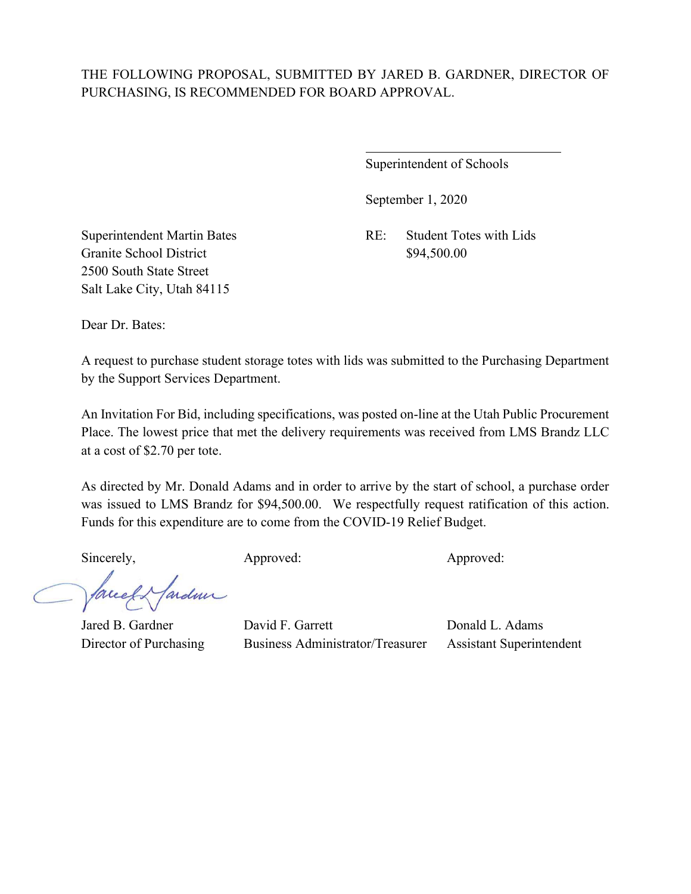$\overline{a}$ 

Superintendent of Schools

September 1, 2020

Granite School District \$94,500.00 2500 South State Street Salt Lake City, Utah 84115

Superintendent Martin Bates RE: Student Totes with Lids

Dear Dr. Bates:

A request to purchase student storage totes with lids was submitted to the Purchasing Department by the Support Services Department.

An Invitation For Bid, including specifications, was posted on-line at the Utah Public Procurement Place. The lowest price that met the delivery requirements was received from LMS Brandz LLC at a cost of \$2.70 per tote.

As directed by Mr. Donald Adams and in order to arrive by the start of school, a purchase order was issued to LMS Brandz for \$94,500.00. We respectfully request ratification of this action. Funds for this expenditure are to come from the COVID-19 Relief Budget.

Sincerely, Approved: Approved: Approved: Approved:

facel & fardeur